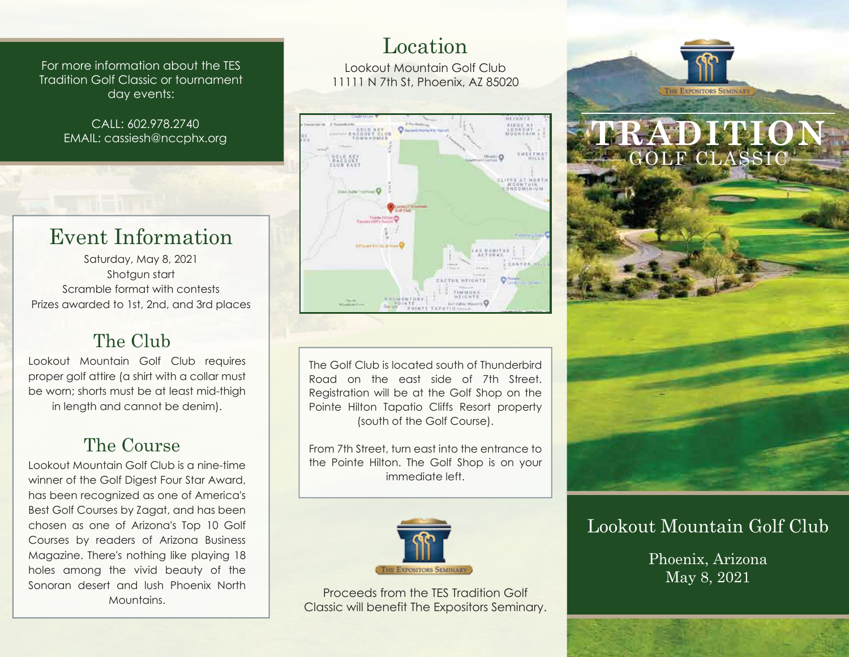For more information about the TES Tradition Golf Classic or tournament day events:

> CALL: 602.978.2740 EMAIL: cassiesh@nccphx.org

# Event Information

Saturday, May 8, 2021 Shotgun start Scramble format with contests Prizes awarded to 1st, 2nd, and 3rd places

## The Club

Lookout Mountain Golf Club requires proper golf attire (a shirt with a collar must be worn; shorts must be at least mid-thigh in length and cannot be denim).

## The Course

Lookout Mountain Golf Club is a nine-time winner of the Golf Digest Four Star Award, has been recognized as one of America's Best Golf Courses by Zagat, and has been chosen as one of Arizona's Top 10 Golf Courses by readers of Arizona Business Magazine. There's nothing like playing 18 holes among the vivid beauty of the Sonoran desert and lush Phoenix North Mountains.

### Location

Lookout Mountain Golf Club 11111 N 7th St, Phoenix, AZ 85020



The Golf Club is located south of Thunderbird Road on the east side of 7th Street. Registration will be at the Golf Shop on the Pointe Hilton Tapatio Cliffs Resort property (south of the Golf Course).

From 7th Street, turn east into the entrance to the Pointe Hilton. The Golf Shop is on your immediate left.



Proceeds from the TES Tradition Golf Classic will benefit The Expositors Seminary.



### Lookout Mountain Golf Club

Phoenix, Arizona May 8, 2021